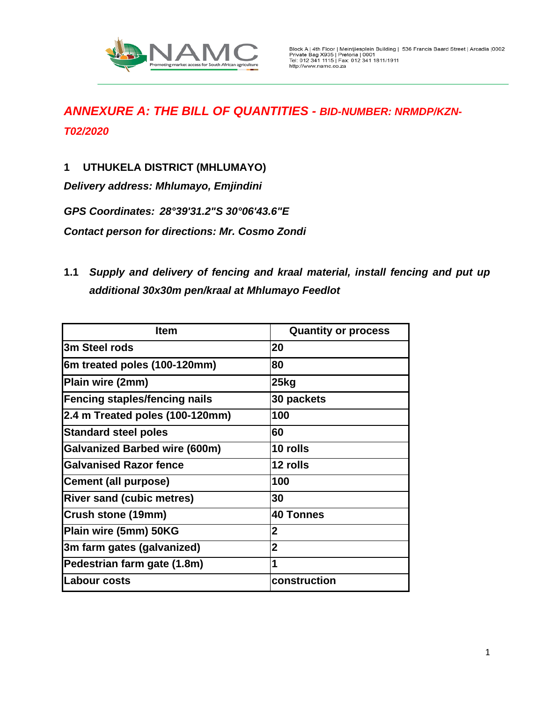

**1 UTHUKELA DISTRICT (MHLUMAYO)**

*Delivery address: Mhlumayo, Emjindini*

*GPS Coordinates: 28°39'31.2"S 30°06'43.6"E*

*Contact person for directions: Mr. Cosmo Zondi*

**1.1** *Supply and delivery of fencing and kraal material, install fencing and put up additional 30x30m pen/kraal at Mhlumayo Feedlot* 

| <b>Item</b>                          | <b>Quantity or process</b> |
|--------------------------------------|----------------------------|
| 3m Steel rods                        | 20                         |
| 6m treated poles (100-120mm)         | 80                         |
| Plain wire (2mm)                     | 25kg                       |
| <b>Fencing staples/fencing nails</b> | 30 packets                 |
| 2.4 m Treated poles (100-120mm)      | 100                        |
| <b>Standard steel poles</b>          | 60                         |
| <b>Galvanized Barbed wire (600m)</b> | 10 rolls                   |
| <b>Galvanised Razor fence</b>        | 12 rolls                   |
| <b>Cement (all purpose)</b>          | 100                        |
| <b>River sand (cubic metres)</b>     | 30                         |
| Crush stone (19mm)                   | <b>40 Tonnes</b>           |
| Plain wire (5mm) 50KG                | $\overline{2}$             |
| 3m farm gates (galvanized)           | $\overline{2}$             |
| Pedestrian farm gate (1.8m)          | 1                          |
| lLabour costs                        | construction               |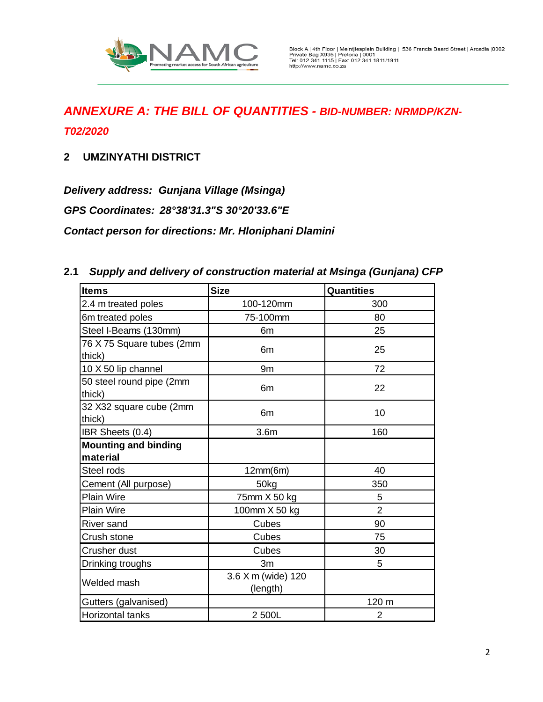

**2 UMZINYATHI DISTRICT**

*Delivery address: Gunjana Village (Msinga)*

*GPS Coordinates: 28°38'31.3"S 30°20'33.6"E*

*Contact person for directions: Mr. Hloniphani Dlamini*

| <b>Items</b>                        | <b>Size</b>                    | <b>Quantities</b> |
|-------------------------------------|--------------------------------|-------------------|
| 2.4 m treated poles                 | 100-120mm                      | 300               |
| 6m treated poles                    | 75-100mm                       | 80                |
| Steel I-Beams (130mm)               | 6m                             | 25                |
| 76 X 75 Square tubes (2mm<br>thick) | 6m                             | 25                |
| 10 X 50 lip channel                 | 9m                             | 72                |
| 50 steel round pipe (2mm<br>thick)  | 6m                             | 22                |
| 32 X32 square cube (2mm<br>thick)   | 6 <sub>m</sub>                 | 10                |
| IBR Sheets (0.4)                    | 3.6 <sub>m</sub>               | 160               |
| <b>Mounting and binding</b>         |                                |                   |
| material                            |                                |                   |
| Steel rods                          | 12mm(6m)                       | 40                |
| Cement (All purpose)                | 50 <sub>kg</sub>               | 350               |
| <b>Plain Wire</b>                   | 75mm X 50 kg                   | 5                 |
| <b>Plain Wire</b>                   | 100mm X 50 kg                  | $\overline{2}$    |
| <b>River sand</b>                   | Cubes                          | 90                |
| Crush stone                         | Cubes                          | 75                |
| Crusher dust                        | Cubes                          | 30                |
| Drinking troughs                    | 3m                             | 5                 |
| Welded mash                         | 3.6 X m (wide) 120<br>(length) |                   |
| Gutters (galvanised)                |                                | 120 m             |
| Horizontal tanks                    | 2 500L                         | 2                 |

#### **2.1** *Supply and delivery of construction material at Msinga (Gunjana) CFP*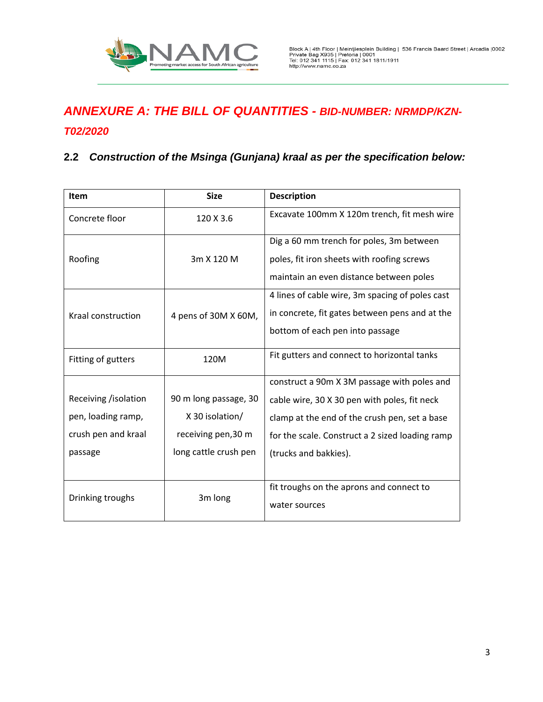

#### *T02/2020*

#### **2.2** *Construction of the Msinga (Gunjana) kraal as per the specification below:*

| Item                 | <b>Size</b>                              | <b>Description</b>                              |
|----------------------|------------------------------------------|-------------------------------------------------|
| Concrete floor       | 120 X 3.6                                | Excavate 100mm X 120m trench, fit mesh wire     |
|                      |                                          | Dig a 60 mm trench for poles, 3m between        |
| Roofing              | 3m X 120 M                               | poles, fit iron sheets with roofing screws      |
|                      |                                          | maintain an even distance between poles         |
|                      |                                          | 4 lines of cable wire, 3m spacing of poles cast |
| Kraal construction   | 4 pens of 30M X 60M,                     | in concrete, fit gates between pens and at the  |
|                      |                                          | bottom of each pen into passage                 |
| Fitting of gutters   | 120M                                     | Fit gutters and connect to horizontal tanks     |
|                      |                                          | construct a 90m X 3M passage with poles and     |
| Receiving /isolation | 90 m long passage, 30                    | cable wire, 30 X 30 pen with poles, fit neck    |
| pen, loading ramp,   | X 30 isolation/                          | clamp at the end of the crush pen, set a base   |
| crush pen and kraal  | receiving pen, 30 m                      | for the scale. Construct a 2 sized loading ramp |
| passage              | long cattle crush pen                    | (trucks and bakkies).                           |
|                      |                                          |                                                 |
|                      | fit troughs on the aprons and connect to |                                                 |
| Drinking troughs     | 3m long                                  | water sources                                   |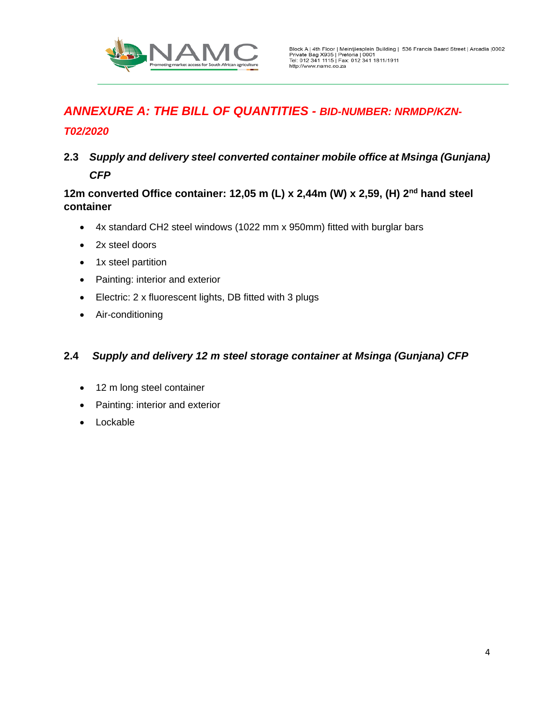

#### *T02/2020*

**2.3** *Supply and delivery steel converted container mobile office at Msinga (Gunjana) CFP*

#### **12m converted Office container: 12,05 m (L) x 2,44m (W) x 2,59, (H) 2nd hand steel container**

- 4x standard CH2 steel windows (1022 mm x 950mm) fitted with burglar bars
- 2x steel doors
- 1x steel partition
- Painting: interior and exterior
- Electric: 2 x fluorescent lights, DB fitted with 3 plugs
- Air-conditioning

#### **2.4** *Supply and delivery 12 m steel storage container at Msinga (Gunjana) CFP*

- 12 m long steel container
- Painting: interior and exterior
- Lockable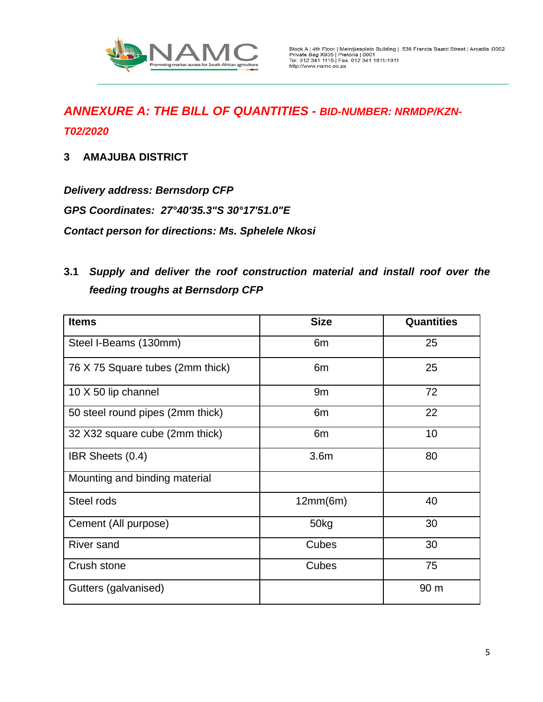

**3 AMAJUBA DISTRICT**

*Delivery address: Bernsdorp CFP GPS Coordinates: 27°40'35.3"S 30°17'51.0"E Contact person for directions: Ms. Sphelele Nkosi*

## **3.1** *Supply and deliver the roof construction material and install roof over the feeding troughs at Bernsdorp CFP*

| <b>Items</b>                     | <b>Size</b>      | <b>Quantities</b> |
|----------------------------------|------------------|-------------------|
| Steel I-Beams (130mm)            | 6 <sub>m</sub>   | 25                |
| 76 X 75 Square tubes (2mm thick) | 6 <sub>m</sub>   | 25                |
| 10 X 50 lip channel              | 9m               | 72                |
| 50 steel round pipes (2mm thick) | 6 <sub>m</sub>   | 22                |
| 32 X32 square cube (2mm thick)   | 6 <sub>m</sub>   | 10                |
| IBR Sheets (0.4)                 | 3.6 <sub>m</sub> | 80                |
| Mounting and binding material    |                  |                   |
| Steel rods                       | 12mm(6m)         | 40                |
| Cement (All purpose)             | 50kg             | 30                |
| <b>River sand</b>                | Cubes            | 30                |
| Crush stone                      | Cubes            | 75                |
| Gutters (galvanised)             |                  | 90 m              |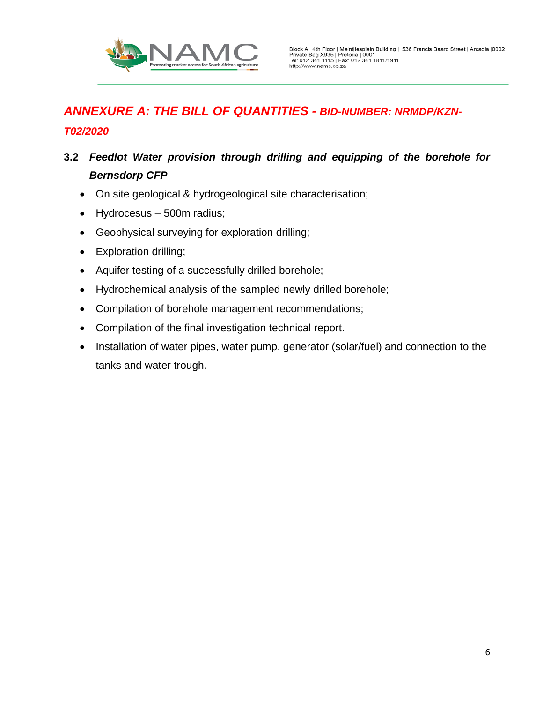

## **3.2** *Feedlot Water provision through drilling and equipping of the borehole for Bernsdorp CFP*

- On site geological & hydrogeological site characterisation;
- Hydrocesus 500m radius;
- Geophysical surveying for exploration drilling;
- Exploration drilling;
- Aquifer testing of a successfully drilled borehole;
- Hydrochemical analysis of the sampled newly drilled borehole;
- Compilation of borehole management recommendations;
- Compilation of the final investigation technical report.
- Installation of water pipes, water pump, generator (solar/fuel) and connection to the tanks and water trough.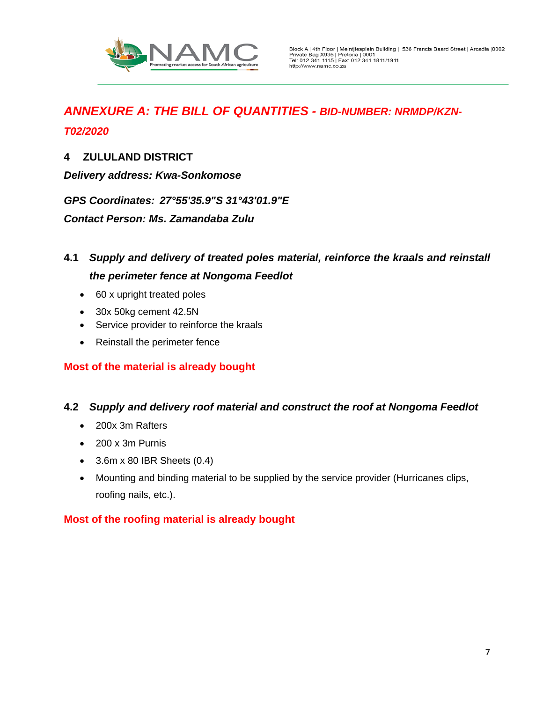

#### **4 ZULULAND DISTRICT**

*Delivery address: Kwa-Sonkomose* 

*GPS Coordinates: 27°55'35.9"S 31°43'01.9"E*

*Contact Person: Ms. Zamandaba Zulu*

## **4.1** *Supply and delivery of treated poles material, reinforce the kraals and reinstall the perimeter fence at Nongoma Feedlot*

- 60 x upright treated poles
- 30x 50kg cement 42.5N
- Service provider to reinforce the kraals
- Reinstall the perimeter fence

#### **Most of the material is already bought**

#### **4.2** *Supply and delivery roof material and construct the roof at Nongoma Feedlot*

- 200x 3m Rafters
- 200 x 3m Purnis
- $\bullet$  3.6m x 80 IBR Sheets (0.4)
- Mounting and binding material to be supplied by the service provider (Hurricanes clips, roofing nails, etc.).

#### **Most of the roofing material is already bought**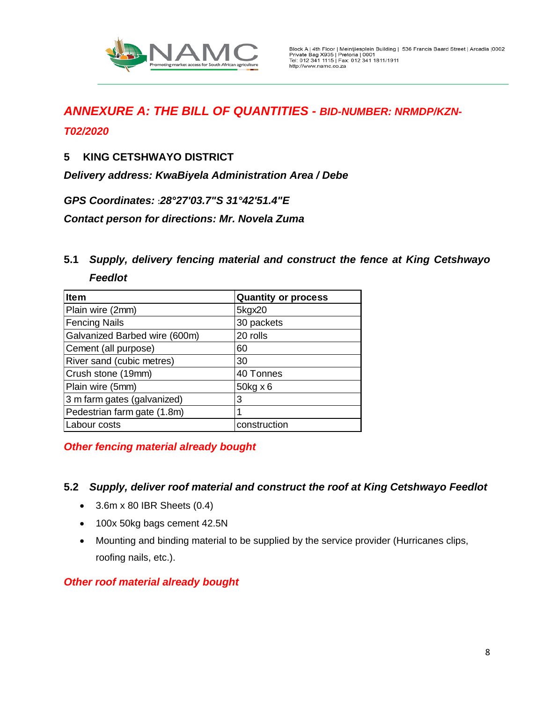

#### *T02/2020*

#### **5 KING CETSHWAYO DISTRICT**

*Delivery address: KwaBiyela Administration Area / Debe*

*GPS Coordinates:* **:***28°27'03.7"S 31°42'51.4"E*

*Contact person for directions: Mr. Novela Zuma*

### **5.1** *Supply, delivery fencing material and construct the fence at King Cetshwayo Feedlot*

| <b>Item</b>                   | <b>Quantity or process</b> |
|-------------------------------|----------------------------|
| Plain wire (2mm)              | 5kgx20                     |
| <b>Fencing Nails</b>          | 30 packets                 |
| Galvanized Barbed wire (600m) | 20 rolls                   |
| Cement (all purpose)          | 60                         |
| River sand (cubic metres)     | 30                         |
| Crush stone (19mm)            | 40 Tonnes                  |
| Plain wire (5mm)              | $50kg \times 6$            |
| 3 m farm gates (galvanized)   | 3                          |
| Pedestrian farm gate (1.8m)   |                            |
| Labour costs                  | construction               |

*Other fencing material already bought*

#### **5.2** *Supply, deliver roof material and construct the roof at King Cetshwayo Feedlot*

- 3.6m x 80 IBR Sheets (0.4)
- 100x 50kg bags cement 42.5N
- Mounting and binding material to be supplied by the service provider (Hurricanes clips, roofing nails, etc.).

#### *Other roof material already bought*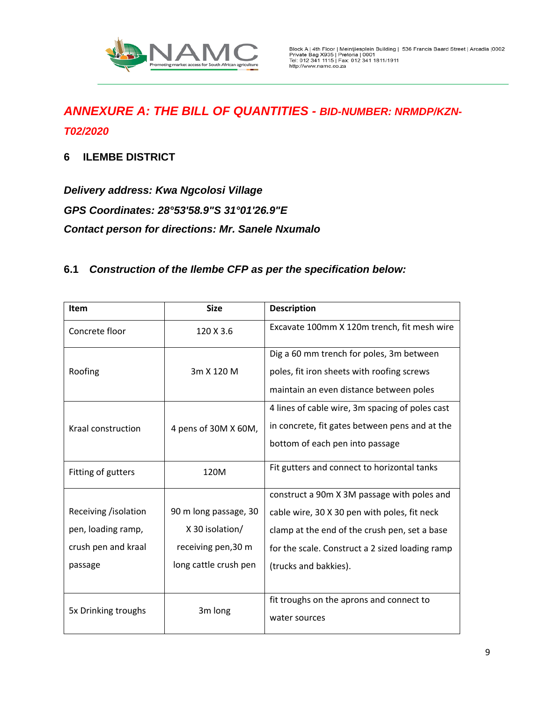

#### **6 ILEMBE DISTRICT**

*Delivery address: Kwa Ngcolosi Village GPS Coordinates: 28°53'58.9"S 31°01'26.9"E Contact person for directions: Mr. Sanele Nxumalo*

### **6.1** *Construction of the Ilembe CFP as per the specification below:*

| <b>Item</b>          | <b>Size</b>           | <b>Description</b>                              |
|----------------------|-----------------------|-------------------------------------------------|
| Concrete floor       | 120 X 3.6             | Excavate 100mm X 120m trench, fit mesh wire     |
|                      |                       | Dig a 60 mm trench for poles, 3m between        |
| Roofing              | 3m X 120 M            | poles, fit iron sheets with roofing screws      |
|                      |                       | maintain an even distance between poles         |
|                      |                       | 4 lines of cable wire, 3m spacing of poles cast |
| Kraal construction   | 4 pens of 30M X 60M,  | in concrete, fit gates between pens and at the  |
|                      |                       | bottom of each pen into passage                 |
| Fitting of gutters   | 120M                  | Fit gutters and connect to horizontal tanks     |
|                      |                       | construct a 90m X 3M passage with poles and     |
| Receiving /isolation | 90 m long passage, 30 | cable wire, 30 X 30 pen with poles, fit neck    |
| pen, loading ramp,   | X 30 isolation/       | clamp at the end of the crush pen, set a base   |
| crush pen and kraal  | receiving pen, 30 m   | for the scale. Construct a 2 sized loading ramp |
| passage              | long cattle crush pen | (trucks and bakkies).                           |
|                      |                       |                                                 |
| 5x Drinking troughs  | 3m long               | fit troughs on the aprons and connect to        |
|                      |                       | water sources                                   |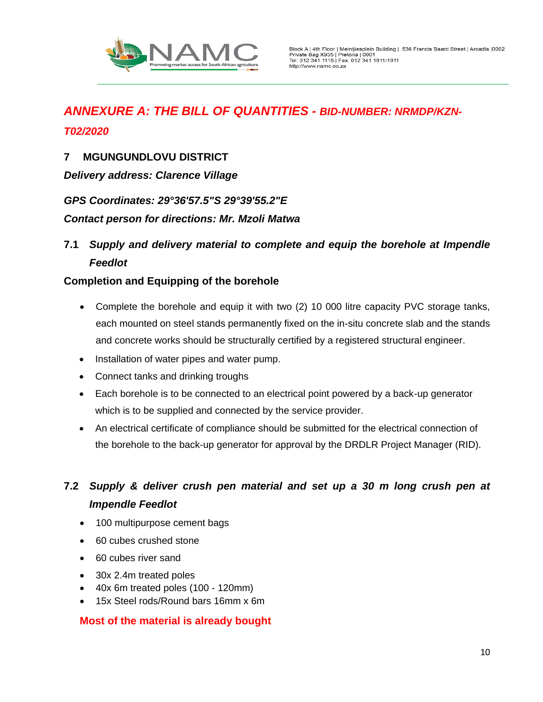

#### **7 MGUNGUNDLOVU DISTRICT**

*Delivery address: Clarence Village*

*GPS Coordinates: 29°36'57.5"S 29°39'55.2"E*

*Contact person for directions: Mr. Mzoli Matwa*

**7.1** *Supply and delivery material to complete and equip the borehole at Impendle Feedlot* 

#### **Completion and Equipping of the borehole**

- Complete the borehole and equip it with two (2) 10 000 litre capacity PVC storage tanks, each mounted on steel stands permanently fixed on the in-situ concrete slab and the stands and concrete works should be structurally certified by a registered structural engineer.
- Installation of water pipes and water pump.
- Connect tanks and drinking troughs
- Each borehole is to be connected to an electrical point powered by a back-up generator which is to be supplied and connected by the service provider.
- An electrical certificate of compliance should be submitted for the electrical connection of the borehole to the back-up generator for approval by the DRDLR Project Manager (RID).

## **7.2** *Supply & deliver crush pen material and set up a 30 m long crush pen at Impendle Feedlot*

- 100 multipurpose cement bags
- 60 cubes crushed stone
- 60 cubes river sand
- 30x 2.4m treated poles
- 40x 6m treated poles (100 120mm)
- 15x Steel rods/Round bars 16mm x 6m

#### **Most of the material is already bought**